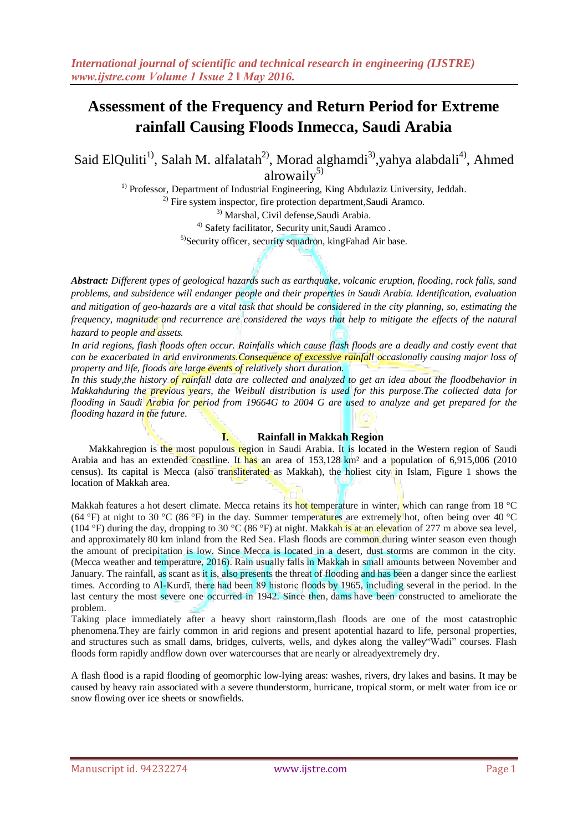Said ElQuliti<sup>1)</sup>, Salah M. alfalatah<sup>2)</sup>, Morad alghamdi<sup>3)</sup>, yahya alabdali<sup>4)</sup>, Ahmed alrowail $v^{5}$ 

> <sup>1)</sup> Professor, Department of Industrial Engineering, King Abdulaziz University, Jeddah.  $^{2)}$  Fire system inspector, fire protection department, Saudi Aramco. 3) Marshal, Civil defense,Saudi Arabia. <sup>4)</sup> Safety facilitator, Security unit, Saudi Aramco. <sup>5)</sup>Security officer, security squadron, kingFahad Air base.

*Abstract: Different types of geological hazards such as earthquake, volcanic eruption, flooding, rock falls, sand problems, and subsidence will endanger people and their properties in Saudi Arabia. Identification, evaluation and mitigation of geo-hazards are a vital task that should be considered in the city planning, so, estimating the frequency, magnitude and recurrence are considered the ways that help to mitigate the effects of the natural hazard to people and assets.*

*In arid regions, flash floods often occur. Rainfalls which cause flash floods are a deadly and costly event that can be exacerbated in arid environments.Consequence of excessive rainfall occasionally causing major loss of property and life, floods are large events of relatively short duration.* 

*In this study,the history of rainfall data are collected and analyzed to get an idea about the floodbehavior in Makkahduring the previous years, the Weibull distribution is used for this purpose.The collected data for flooding in Saudi Arabia for period from 19664G to 2004 G are used to analyze and get prepared for the flooding hazard in the future.* 

## **I. Rainfall in Makkah Region**

Makkahregion is the most populous region in [Saudi Arabia.](https://en.wikipedia.org/wiki/Saudi_Arabia) It is located in the Western region of Saudi Arabia and has an extended coastline. It has an area of 153,128 km² and a population of 6,915,006 (2010 census). Its capital is [Mecca](https://en.wikipedia.org/wiki/Mecca) (also transliterated as Makkah), the holiest city in Islam, Figure 1 shows the location of Makkah area.

Makkah features a hot desert climate. Mecca retains its hot temperature in winter, which can range from 18 °C (64 °F) at night to 30 °C (86 °F) in the day. Summer temperatures are extremely hot, often being over 40 °C (104 °F) during the day, dropping to 30 °C (86 °F) at night. Makkah is at an elevation of 277 m above sea level, and approximately 80 km inland from the Red Sea. Flash floods are common during winter season even though the amount of precipitation is low. Since Mecca is located in a desert, dust storms are common in the city. (Mecca weather and temperature, 2016). Rain usually falls in Makkah in small amounts between November and January. The [rainfall,](https://en.wikipedia.org/wiki/Rain) as scant as it is, also presents the threat of flooding and has been a danger since the earliest times. According to Al-Kurdī, there had been 89 historic [floods](https://en.wikipedia.org/wiki/Flood) by 1965, including several in the period. In the last century the most severe one occurred in 1942. Since then, [dams](https://en.wikipedia.org/wiki/Dam) have been constructed to ameliorate the problem.

Taking place immediately after a heavy short rainstorm,flash floods are one of the most catastrophic phenomena.They are fairly common in arid regions and present apotential hazard to life, personal properties, and structures such as small dams, bridges, culverts, wells, and dykes along the valley"Wadi" courses. Flash floods form rapidly andflow down over watercourses that are nearly or alreadyextremely dry.

A flash flood is a rapid [flooding](https://en.wikipedia.org/wiki/Flood) of geomorphic low-lying areas: washes, [rivers,](https://en.wikipedia.org/wiki/River) [dry lakes](https://en.wikipedia.org/wiki/Dry_lake) an[d basins.](https://en.wikipedia.org/wiki/Depression_%28geology%29) It may be caused by heavy [rain](https://en.wikipedia.org/wiki/Rain) associated with a [severe thunderstorm,](https://en.wikipedia.org/wiki/Severe_thunderstorm) [hurricane,](https://en.wikipedia.org/wiki/Hurricane) [tropical storm,](https://en.wikipedia.org/wiki/Tropical_storm) or [melt water](https://en.wikipedia.org/wiki/Meltwater) from ice or snow flowing over ice sheets or snowfields.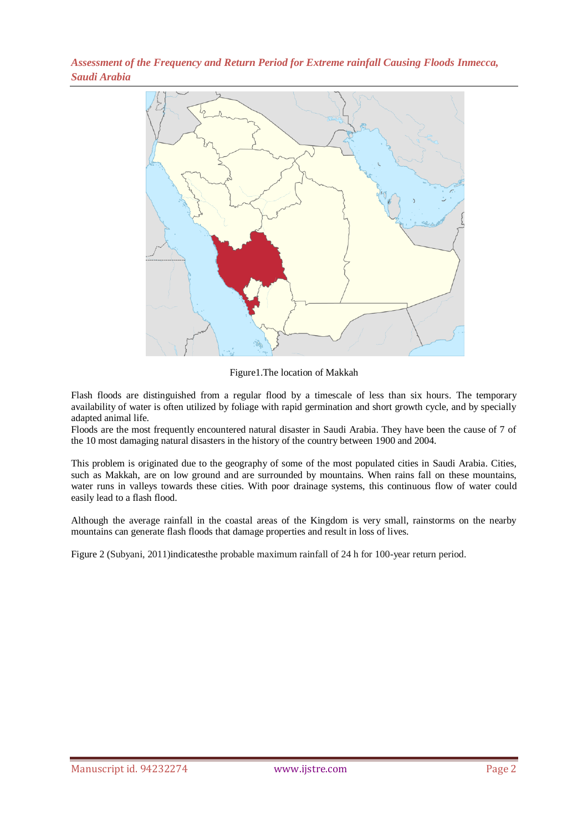

Figure1.The location of Makkah

Flash floods are distinguished from a regular flood by a timescale of less than six hours. The temporary availability of water is often utilized by foliage with rapid germination and short growth cycle, and by specially adapted animal life.

Floods are the most frequently encountered natural disaster in Saudi Arabia. They have been the cause of 7 of the 10 most damaging natural disasters in the history of the country between 1900 and 2004.

This problem is originated due to the geography of some of the most populated cities in Saudi Arabia. Cities, such as Makkah, are on low ground and are surrounded by mountains. When rains fall on these mountains, water runs in valleys towards these cities. With poor drainage systems, this continuous flow of water could easily lead to a flash flood.

Although the average rainfall in the coastal areas of the Kingdom is very small, rainstorms on the nearby mountains can generate flash floods that damage properties and result in loss of lives.

Figure 2 (Subyani, 2011)indicatesthe probable maximum rainfall of 24 h for 100-year return period.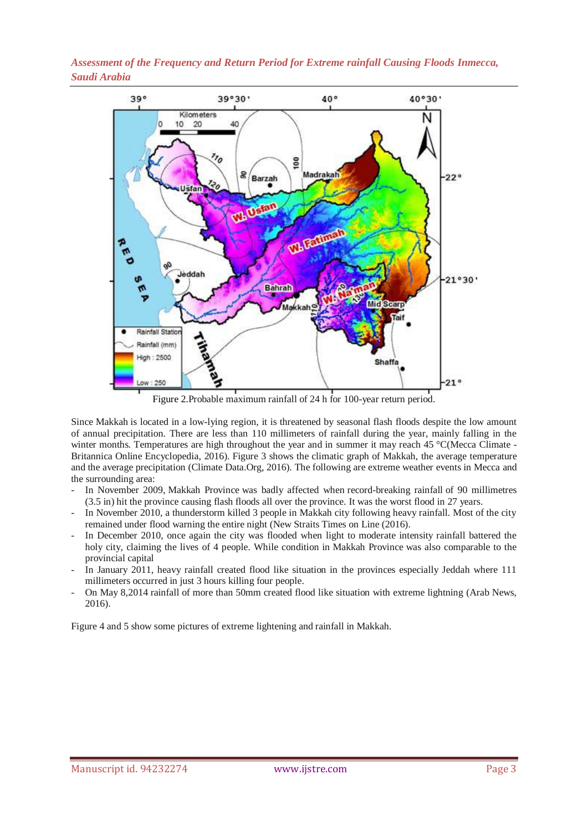

Figure 2.Probable maximum rainfall of 24 h for 100-year return period.

Since [Makkah](https://en.wikipedia.org/wiki/Mecca) is located in a low-lying region, it is threatened by seasonal flash floods despite the low amount of annual precipitation. There are less than 110 millimeters of rainfall during the year, mainly falling in the winter months. Temperatures are high throughout the year and in summer it may reach 45 °C(Mecca Climate -Britannica Online Encyclopedia, 2016). Figure 3 shows the climatic graph of Makkah, the average temperature and the average precipitation (Climate Data.Org, 2016). The following are extreme weather events in Mecca and the surrounding area:

- In November 2009, [Makkah Province](https://en.wikipedia.org/wiki/Makkah_Province) was badly affected when [record-breaking rainfall](https://en.wikipedia.org/wiki/2009_Jeddah_floods) of 90 millimetres (3.5 in) hit the province causing flash floods all over the province. It was the worst flood in 27 years.
- In November 2010, a thunderstorm killed 3 people in Makkah city following heavy rainfall. Most of the city remained under flood warning the entire night (New Straits Times on Line (2016).
- In December 2010, once again the city was flooded when light to moderate intensity rainfall battered the holy city, claiming the lives of 4 people. While condition in [Makkah Province](https://en.wikipedia.org/wiki/Makkah_Province) was also comparable to the provincial capital
- In January 2011, heavy rainfall created flood like situation in the provinces especially Jeddah where 111 millimeters occurred in just 3 hours killing four people.
- On May 8,2014 rainfall of more than 50mm created flood like situation with extreme lightning (Arab News, 2016).

Figure 4 and 5 show some pictures of extreme lightening and rainfall in Makkah.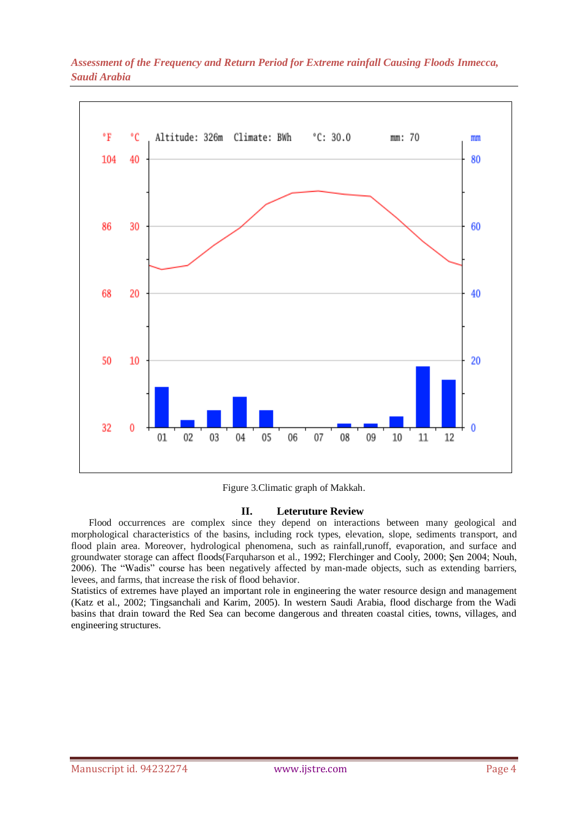

Figure 3.Climatic graph of Makkah.

## **II. Leteruture Review**

Flood occurrences are complex since they depend on interactions between many geological and morphological characteristics of the basins, including rock types, elevation, slope, sediments transport, and flood plain area. Moreover, hydrological phenomena, such as rainfall,runoff, evaporation, and surface and groundwater storage can affect floods(Farquharson et al., 1992; Flerchinger and Cooly, 2000; Şen 2004; Nouh, 2006). The "Wadis" course has been negatively affected by man-made objects, such as extending barriers, levees, and farms, that increase the risk of flood behavior.

Statistics of extremes have played an important role in engineering the water resource design and management (Katz et al., 2002; Tingsanchali and Karim, 2005). In western Saudi Arabia, flood discharge from the Wadi basins that drain toward the Red Sea can become dangerous and threaten coastal cities, towns, villages, and engineering structures.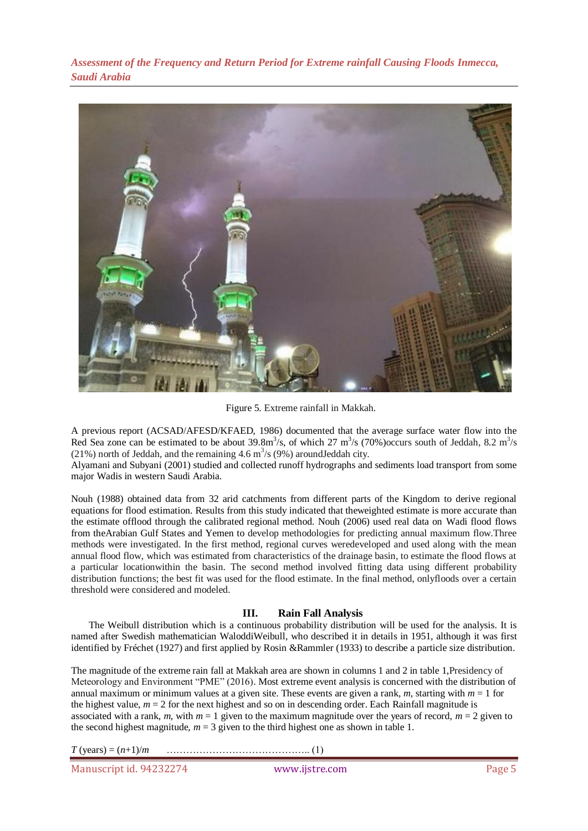

Figure 5. Extreme rainfall in Makkah.

A previous report (ACSAD/AFESD/KFAED, 1986) documented that the average surface water flow into the Red Sea zone can be estimated to be about  $39.8 \text{m}^3/\text{s}$ , of which  $27 \text{ m}^3/\text{s}$  (70%) occurs south of Jeddah, 8.2 m<sup>3</sup>/s (21%) north of Jeddah, and the remaining 4.6  $\text{m}^3\text{/s}$  (9%) around Jeddah city.

Alyamani and Subyani (2001) studied and collected runoff hydrographs and sediments load transport from some major Wadis in western Saudi Arabia.

Nouh (1988) obtained data from 32 arid catchments from different parts of the Kingdom to derive regional equations for flood estimation. Results from this study indicated that theweighted estimate is more accurate than the estimate offlood through the calibrated regional method. Nouh (2006) used real data on Wadi flood flows from theArabian Gulf States and Yemen to develop methodologies for predicting annual maximum flow.Three methods were investigated. In the first method, regional curves weredeveloped and used along with the mean annual flood flow, which was estimated from characteristics of the drainage basin, to estimate the flood flows at a particular locationwithin the basin. The second method involved fitting data using different probability distribution functions; the best fit was used for the flood estimate. In the final method, onlyfloods over a certain threshold were considered and modeled.

# **III. Rain Fall Analysis**

The Weibull distribution which is a continuous probability distribution will be used for the analysis. It is named after Swedish mathematician [WaloddiWeibull,](https://en.wikipedia.org/wiki/Waloddi_Weibull) who described it in details in 1951, although it was first identified by Fréchet (1927) and first applied by Rosin &Rammler (1933) to describe [a particle size distribution.](https://en.wikipedia.org/wiki/Particle-size_distribution)

The magnitude of the extreme rain fall at Makkah area are shown in columns 1 and 2 in table 1,Presidency of Meteorology and Environment "PME" (2016). Most extreme event analysis is concerned with the distribution of annual maximum or minimum values at a given site. These events are given a rank, *m*, starting with *m* = 1 for the highest value,  $m = 2$  for the next highest and so on in descending order. Each Rainfall magnitude is associated with a rank,  $m$ , with  $m = 1$  given to the maximum magnitude over the years of record,  $m = 2$  given to the second highest magnitude,  $m = 3$  given to the third highest one as shown in table 1.

*T* (years) = (*n*+1)/*m* …………………………………….. (1)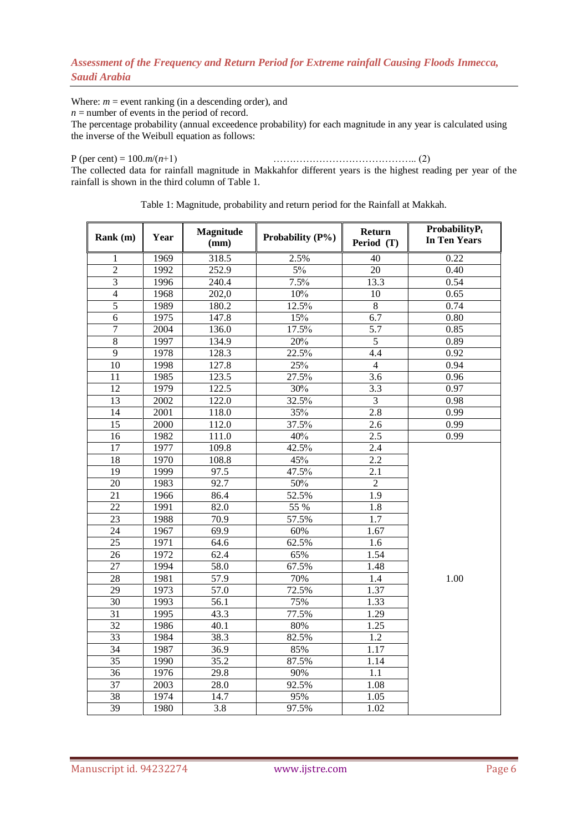Where:  $m =$  event ranking (in a descending order), and

 $n =$  number of events in the period of record.

The percentage probability (annual exceedence probability) for each magnitude in any year is calculated using the inverse of the Weibull equation as follows:

# P (per cent) = 100.*m*/(*n*+1) …………………………………….. (2)

The collected data for rainfall magnitude in Makkahfor different years is the highest reading per year of the rainfall is shown in the third column of Table 1.

| Rank (m)        | Year              | <b>Magnitude</b><br>(mm) | Probability (P%) | Return<br>Period (T) | $ProbabilityP_t$<br><b>In Ten Years</b> |
|-----------------|-------------------|--------------------------|------------------|----------------------|-----------------------------------------|
| 1               | 1969              | 318.5                    | 2.5%             | 40                   | 0.22                                    |
| $\overline{c}$  | 1992              | 252.9                    | $5\%$            | 20                   | 0.40                                    |
| $\overline{3}$  | 1996              | 240.4                    | 7.5%             | 13.3                 | 0.54                                    |
| $\overline{4}$  | 1968              | 202,0                    | $10\%$           | 10                   | 0.65                                    |
| $\overline{5}$  | 1989              | 180.2                    | 12.5%            | $\overline{8}$       | 0.74                                    |
| 6               | 1975              | 147.8                    | 15%              | 6.7                  | 0.80                                    |
| $\overline{7}$  | 2004              | 136.0                    | 17.5%            | 5.7                  | 0.85                                    |
| 8               | 1997              | 134.9                    | 20%              | $\overline{5}$       | 0.89                                    |
| $\overline{9}$  | 1978              | 128.3                    | 22.5%            | 4.4                  | 0.92                                    |
| $\overline{10}$ | 1998              | 127.8                    | 25%              | $\overline{4}$       | 0.94                                    |
| 11              | 1985              | 123.5                    | 27.5%            | 3.6                  | 0.96                                    |
| 12              | 1979              | 122.5                    | 30%              | 3.3                  | 0.97                                    |
| 13              | 2002              | 122.0                    | 32.5%            | $\overline{3}$       | 0.98                                    |
| 14              | 2001              | 118.0                    | 35%              | $\overline{2.8}$     | 0.99                                    |
| 15              | 2000              | 112.0                    | 37.5%            | 2.6                  | 0.99                                    |
| 16              | 1982              | 111.0                    | 40%              | 2.5                  | 0.99                                    |
| 17              | 1977              | 109.8                    | 42.5%            | 2.4                  |                                         |
| 18              | 1970              | 108.8                    | 45%              | 2.2                  |                                         |
| 19              | 1999              | 97.5                     | 47.5%            | 2.1                  |                                         |
| 20              | 1983              | 92.7                     | 50%              | $\overline{2}$       |                                         |
| 21              | 1966              | 86.4                     | 52.5%            | 1.9                  |                                         |
| 22              | 1991              | 82.0                     | 55 %             | 1.8                  |                                         |
| 23              | 1988              | 70.9                     | 57.5%            | 1.7                  |                                         |
| $\overline{24}$ | 1967              | 69.9                     | 60%              | 1.67                 |                                         |
| 25              | 1971              | 64.6                     | 62.5%            | 1.6                  |                                         |
| 26              | 1972              | 62.4                     | 65%              | 1.54                 |                                         |
| 27              | $199\overline{4}$ | 58.0                     | 67.5%            | 1.48                 |                                         |
| $\overline{28}$ | 1981              | 57.9                     | 70%              | $\overline{1.4}$     | 1.00                                    |
| 29              | 1973              | 57.0                     | 72.5%            | 1.37                 |                                         |
| 30              | 1993              | 56.1                     | 75%              | 1.33                 |                                         |
| 31              | 1995              | 43.3                     | 77.5%            | 1.29                 |                                         |
| $\overline{32}$ | 1986              | 40.1                     | 80%              | 1.25                 |                                         |
| 33              | 1984              | 38.3                     | 82.5%            | 1.2                  |                                         |
| 34              | 1987              | 36.9                     | 85%              | 1.17                 |                                         |
| $\overline{35}$ | 1990              | 35.2                     | 87.5%            | 1.14                 |                                         |
| 36              | 1976              | 29.8                     | 90%              | 1.1                  |                                         |
| 37              | 2003              | 28.0                     | 92.5%            | 1.08                 |                                         |
| 38              | 1974              | 14.7                     | 95%              | 1.05                 |                                         |
| 39              | 1980              | 3.8                      | 97.5%            | 1.02                 |                                         |

Table 1: Magnitude, probability and return period for the Rainfall at Makkah.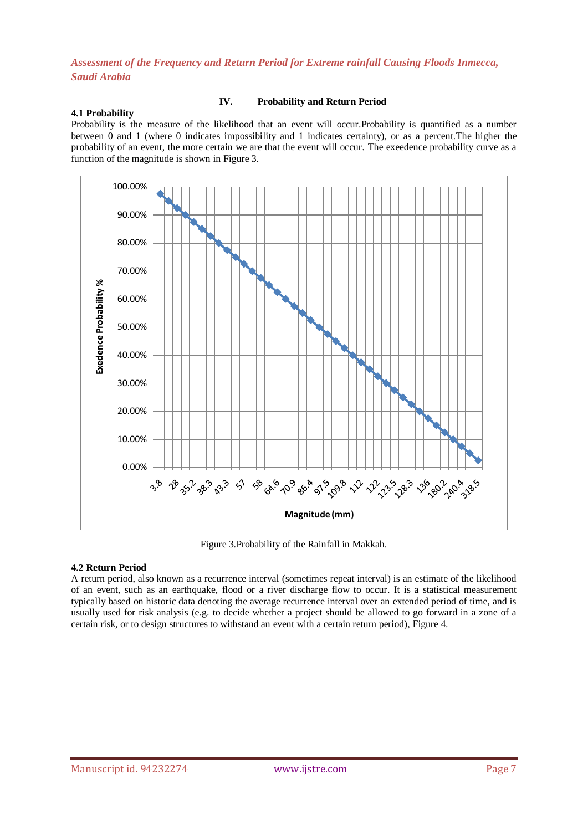#### **4.1 Probability**

**IV. Probability and Return Period**

Probability is the [measure](https://en.wikipedia.org/wiki/Measure_%28mathematics%29) of the likelihood that an [event](https://en.wikipedia.org/wiki/Event_%28probability_theory%29) will occur.Probability is quantified as a number between 0 and 1 (where 0 indicates impossibility and 1 indicates certainty), or as a percent.The higher the probability of an event, the more certain we are that the event will occur. The exeedence probability curve as a function of the magnitude is shown in Figure 3.



Figure 3.Probability of the Rainfall in Makkah.

## **4.2 Return Period**

A return period, also known as a recurrence interval (sometimes repeat interval) is an estimate of the likelihood of an event, such as an [earthquake,](https://en.wikipedia.org/wiki/Earthquake) [flood](https://en.wikipedia.org/wiki/Flood) or a river discharge flow to occur. It is a statistical measurement typically based on historic data denoting the average recurrence interval over an extended period of time, and is usually used for risk analysis (e.g. to decide whether a project should be allowed to go forward in a zone of a certain risk, or to design structures to withstand an event with a certain return period), Figure 4.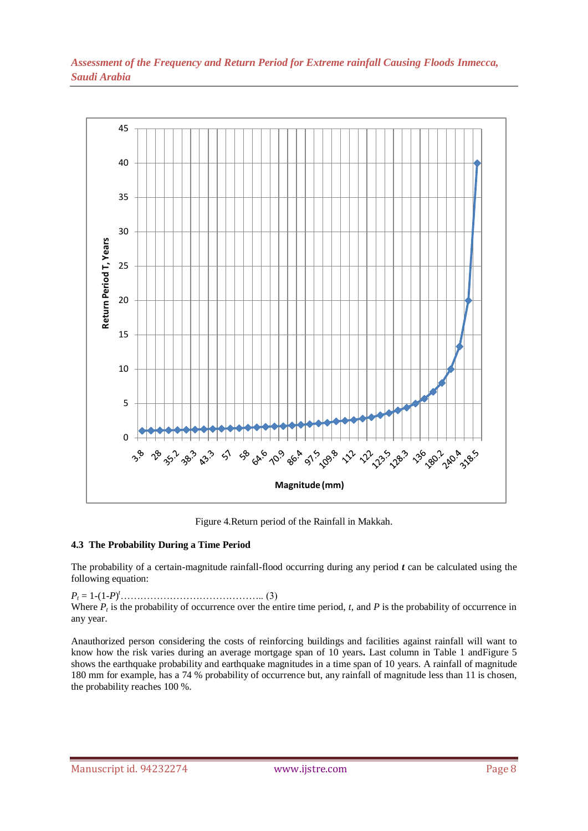

Figure 4.Return period of the Rainfall in Makkah.

# **4.3 The Probability During a Time Period**

The probability of a certain-magnitude rainfall-flood occurring during any period *t* can be calculated using the following equation:

*P<sup>t</sup>* = 1-(1-*P*) *<sup>t</sup>*…………………………………….. (3) Where  $P_t$  is the probability of occurrence over the entire time period,  $t$ , and  $P$  is the probability of occurrence in any year.

Anauthorized person considering the costs of reinforcing buildings and facilities against rainfall will want to know how the risk varies during an average mortgage span of 10 years**.** Last column in Table 1 andFigure 5 shows the earthquake probability and earthquake magnitudes in a time span of 10 years. A rainfall of magnitude 180 mm for example, has a 74 % probability of occurrence but, any rainfall of magnitude less than 11 is chosen, the probability reaches 100 %.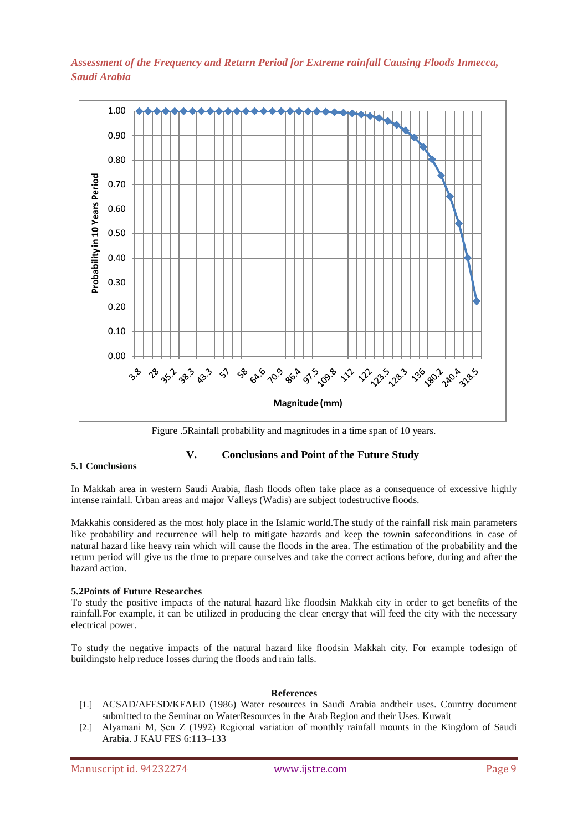

Figure .5Rainfall probability and magnitudes in a time span of 10 years.

## **V. Conclusions and Point of the Future Study**

#### **5.1 Conclusions**

In Makkah area in western Saudi Arabia, flash floods often take place as a consequence of excessive highly intense rainfall. Urban areas and major Valleys (Wadis) are subject todestructive floods.

Makkahis considered as the most holy place in the Islamic world.The study of the rainfall risk main parameters like probability and recurrence will help to mitigate hazards and keep the townin safeconditions in case of natural hazard like heavy rain which will cause the floods in the area. The estimation of the probability and the return period will give us the time to prepare ourselves and take the correct actions before, during and after the hazard action.

#### **5.2Points of Future Researches**

To study the positive impacts of the natural hazard like floodsin Makkah city in order to get benefits of the rainfall.For example, it can be utilized in producing the clear energy that will feed the city with the necessary electrical power.

To study the negative impacts of the natural hazard like floodsin Makkah city. For example todesign of buildingsto help reduce losses during the floods and rain falls.

#### **References**

- [1.] ACSAD/AFESD/KFAED (1986) Water resources in Saudi Arabia andtheir uses. Country document submitted to the Seminar on WaterResources in the Arab Region and their Uses. Kuwait
- [2.] Alyamani M, Şen Z (1992) Regional variation of monthly rainfall mounts in the Kingdom of Saudi Arabia. J KAU FES 6:113–133